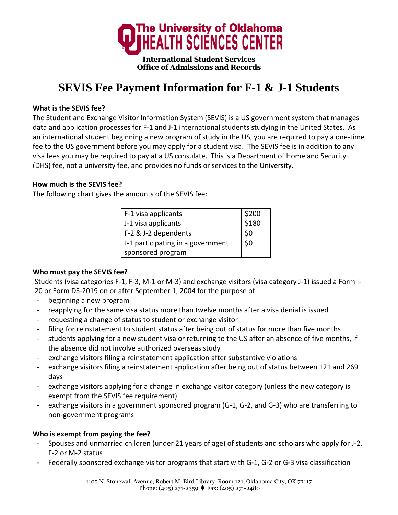

# **SEVIS Fee Payment Information for F-1 & J-1 Students**

#### **What is the SEVIS fee?**

The Student and Exchange Visitor Information System (SEVIS) is a US government system that manages data and application processes for F‐1 and J‐1 international students studying in the United States. As an international student beginning a new program of study in the US, you are required to pay a one‐time fee to the US government before you may apply for a student visa. The SEVIS fee is in addition to any visa fees you may be required to pay at a US consulate. This is a Department of Homeland Security (DHS) fee, not a university fee, and provides no funds or services to the University.

#### **How much is the SEVIS fee?**

The following chart gives the amounts of the SEVIS fee:

| F-1 visa applicants               | \$200 |
|-----------------------------------|-------|
| J-1 visa applicants               | \$180 |
| F-2 & J-2 dependents              | \$0   |
| J-1 participating in a government | \$0   |
| sponsored program                 |       |

#### **Who must pay the SEVIS fee?**

Students (visa categories F‐1, F‐3, M‐1 or M‐3) and exchange visitors (visa category J‐1) issued a Form I‐ 20 or Form DS‐2019 on or after September 1, 2004 for the purpose of:

- beginning a new program
- ‐ reapplying for the same visa status more than twelve months after a visa denial is issued
- ‐ requesting a change of status to student or exchange visitor
- filing for reinstatement to student status after being out of status for more than five months
- students applying for a new student visa or returning to the US after an absence of five months, if the absence did not involve authorized overseas study
- ‐ exchange visitors filing a reinstatement application after substantive violations
- ‐ exchange visitors filing a reinstatement application after being out of status between 121 and 269 days
- exchange visitors applying for a change in exchange visitor category (unless the new category is exempt from the SEVIS fee requirement)
- exchange visitors in a government sponsored program (G-1, G-2, and G-3) who are transferring to non‐government programs

## **Who is exempt from paying the fee?**

- ‐ Spouses and unmarried children (under 21 years of age) of students and scholars who apply for J‐2, F‐2 or M‐2 status
- Federally sponsored exchange visitor programs that start with G-1, G-2 or G-3 visa classification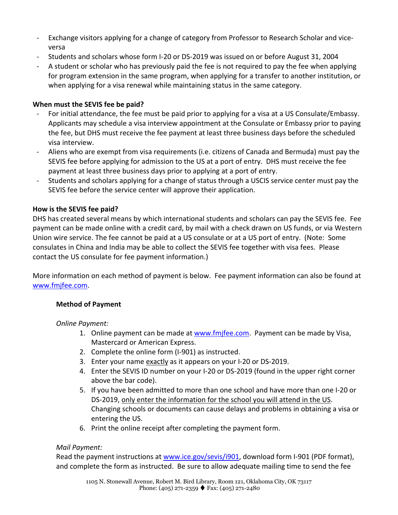- ‐ Exchange visitors applying for a change of category from Professor to Research Scholar and vice‐ versa
- ‐ Students and scholars whose form I‐20 or DS‐2019 was issued on or before August 31, 2004
- ‐ A student or scholar who has previously paid the fee is not required to pay the fee when applying for program extension in the same program, when applying for a transfer to another institution, or when applying for a visa renewal while maintaining status in the same category.

## **When must the SEVIS fee be paid?**

- ‐ For initial attendance, the fee must be paid prior to applying for a visa at a US Consulate/Embassy. Applicants may schedule a visa interview appointment at the Consulate or Embassy prior to paying the fee, but DHS must receive the fee payment at least three business days before the scheduled visa interview.
- ‐ Aliens who are exempt from visa requirements (i.e. citizens of Canada and Bermuda) must pay the SEVIS fee before applying for admission to the US at a port of entry. DHS must receive the fee payment at least three business days prior to applying at a port of entry.
- Students and scholars applying for a change of status through a USCIS service center must pay the SEVIS fee before the service center will approve their application.

## **How is the SEVIS fee paid?**

DHS has created several means by which international students and scholars can pay the SEVIS fee. Fee payment can be made online with a credit card, by mail with a check drawn on US funds, or via Western Union wire service. The fee cannot be paid at a US consulate or at a US port of entry. (Note: Some consulates in China and India may be able to collect the SEVIS fee together with visa fees. Please contact the US consulate for fee payment information.)

More information on each method of payment is below. Fee payment information can also be found at www.fmjfee.com.

## **Method of Payment**

## *Online Payment:*

- 1. Online payment can be made at www.fmjfee.com. Payment can be made by Visa, Mastercard or American Express.
- 2. Complete the online form (I‐901) as instructed.
- 3. Enter your name exactly as it appears on your I‐20 or DS‐2019.
- 4. Enter the SEVIS ID number on your I-20 or DS-2019 (found in the upper right corner above the bar code).
- 5. If you have been admitted to more than one school and have more than one I-20 or DS‐2019, only enter the information for the school you will attend in the US. Changing schools or documents can cause delays and problems in obtaining a visa or entering the US.
- 6. Print the online receipt after completing the payment form.

# *Mail Payment:*

Read the payment instructions at www.ice.gov/sevis/i901, download form I-901 (PDF format), and complete the form as instructed. Be sure to allow adequate mailing time to send the fee